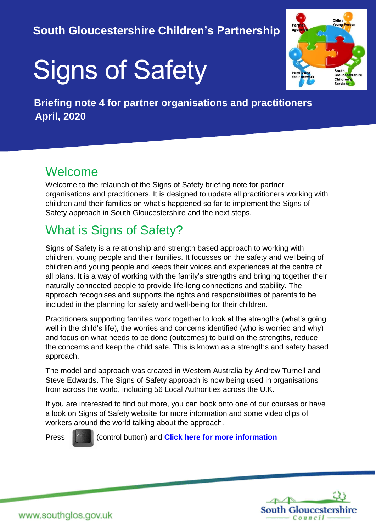## **South Gloucestershire Children's Partnership**

# Signs of Safety



 **Briefing note 4 for partner organisations and practitioners April, 2020**

#### Welcome

Welcome to the relaunch of the Signs of Safety briefing note for partner organisations and practitioners. It is designed to update all practitioners working with children and their families on what's happened so far to implement the Signs of Safety approach in South Gloucestershire and the next steps.

# What is Signs of Safety?

Signs of Safety is a relationship and strength based approach to working with children, young people and their families. It focusses on the safety and wellbeing of children and young people and keeps their voices and experiences at the centre of all plans. It is a way of working with the family's strengths and bringing together their naturally connected people to provide life-long connections and stability. The approach recognises and supports the rights and responsibilities of parents to be included in the planning for safety and well-being for their children.

Practitioners supporting families work together to look at the strengths (what's going well in the child's life), the worries and concerns identified (who is worried and why) and focus on what needs to be done (outcomes) to build on the strengths, reduce the concerns and keep the child safe. This is known as a strengths and safety based approach.

The model and approach was created in Western Australia by Andrew Turnell and Steve Edwards. The Signs of Safety approach is now being used in organisations from across the world, including 56 Local Authorities across the U.K.

If you are interested to find out more, you can book onto one of our courses or have a look on Signs of Safety website for more information and some video clips of workers around the world talking about the approach.

Press  $\|\cdot\|^{\text{can}}$  [\(](https://www.bing.com/images/search?view=detailV2&ccid=2oscmPqv&id=FD10AF8802EBE9CAE43A76153148BC181848A03A&thid=OIP.2oscmPqviBhyDH9ExtZ0twHaF7&mediaurl=https://mustbethistalltoride.files.wordpress.com/2015/03/control-button.jpg&exph=620&expw=774&q=control+button&simid=608016219507657799&selectedIndex=2)control button) and **[Click here for more information](https://www.signsofsafety.net/what-is-sofs/)** 

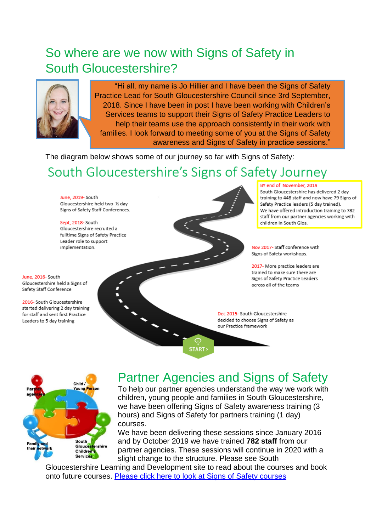# So where are we now with Signs of Safety in South Gloucestershire?



"Hi all, my name is Jo Hillier and I have been the Signs of Safety Practice Lead for South Gloucestershire Council since 3rd September, 2018. Since I have been in post I have been working with Children's Services teams to support their Signs of Safety Practice Leaders to help their teams use the approach consistently in their work with families. I look forward to meeting some of you at the Signs of Safety awareness and Signs of Safety in practice sessions."

The diagram below shows some of our journey so far with Signs of Safety:

# South Gloucestershire's Signs of Safety Journey

June, 2019- South Gloucestershire held two % day Signs of Safety Staff Conferences.

Sept, 2018-South Gloucestershire recruited a fulltime Signs of Safety Practice Leader role to support implementation.

June, 2016- South Gloucestershire held a Signs of Safety Staff Conference

2016- South Gloucestershire started delivering 2 day training for staff and sent first Practice Leaders to 5 day training

#### BY end of November, 2019

South Gloucestershire has delivered 2 day training to 448 staff and now have 79 Signs of Safety Practice leaders (5 day trained). We have offered introduction training to 782 staff from our partner agencies working with children in South Glos.

Nov 2017- Staff conference with Signs of Safety workshops.

2017- More practice leaders are trained to make sure there are Signs of Safety Practice Leaders across all of the teams

Dec 2015- South Gloucestershire decided to choose Signs of Safety as our Practice framework

Child / foung Pers **South** Gloucestershire Children's Services

## Partner Agencies and Signs of Safety

START>

To help our partner agencies understand the way we work with children, young people and families in South Gloucestershire, we have been offering Signs of Safety awareness training (3 hours) and Signs of Safety for partners training (1 day) courses.

We have been delivering these sessions since January 2016 and by October 2019 we have trained **782 staff** from our partner agencies. These sessions will continue in 2020 with a slight change to the structure. Please see South

Gloucestershire Learning and Development site to read about the courses and book onto future courses. [Please click here to look at Signs of Safety courses](https://learning.southglos.gov.uk/courses/bookings/default.asp?ds=1&keyword=signs+of+safety&curpage=1)